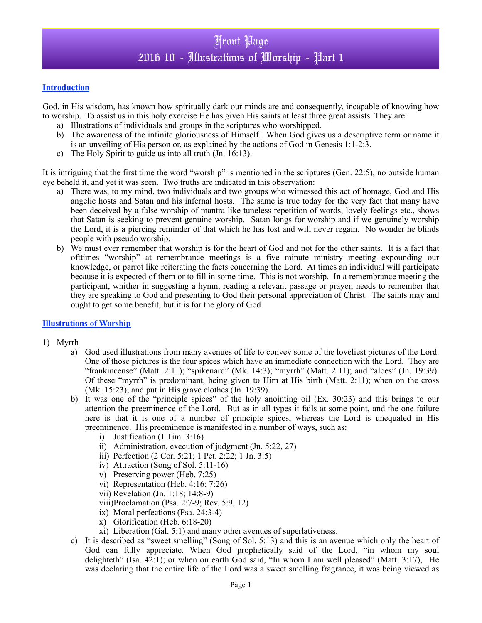#### **Introduction**

God, in His wisdom, has known how spiritually dark our minds are and consequently, incapable of knowing how to worship. To assist us in this holy exercise He has given His saints at least three great assists. They are:

- a) Illustrations of individuals and groups in the scriptures who worshipped.
- b) The awareness of the infinite gloriousness of Himself. When God gives us a descriptive term or name it is an unveiling of His person or, as explained by the actions of God in Genesis 1:1-2:3.
- c) The Holy Spirit to guide us into all truth (Jn. 16:13).

It is intriguing that the first time the word "worship" is mentioned in the scriptures (Gen. 22:5), no outside human eye beheld it, and yet it was seen. Two truths are indicated in this observation:

- a) There was, to my mind, two individuals and two groups who witnessed this act of homage, God and His angelic hosts and Satan and his infernal hosts. The same is true today for the very fact that many have been deceived by a false worship of mantra like tuneless repetition of words, lovely feelings etc., shows that Satan is seeking to prevent genuine worship. Satan longs for worship and if we genuinely worship the Lord, it is a piercing reminder of that which he has lost and will never regain. No wonder he blinds people with pseudo worship.
- b) We must ever remember that worship is for the heart of God and not for the other saints. It is a fact that ofttimes "worship" at remembrance meetings is a five minute ministry meeting expounding our knowledge, or parrot like reiterating the facts concerning the Lord. At times an individual will participate because it is expected of them or to fill in some time. This is not worship. In a remembrance meeting the participant, whither in suggesting a hymn, reading a relevant passage or prayer, needs to remember that they are speaking to God and presenting to God their personal appreciation of Christ. The saints may and ought to get some benefit, but it is for the glory of God.

### **Illustrations of Worship**

- 1) Myrrh
	- a) God used illustrations from many avenues of life to convey some of the loveliest pictures of the Lord. One of those pictures is the four spices which have an immediate connection with the Lord. They are "frankincense" (Matt. 2:11); "spikenard" (Mk. 14:3); "myrrh" (Matt. 2:11); and "aloes" (Jn. 19:39). Of these "myrrh" is predominant, being given to Him at His birth (Matt. 2:11); when on the cross (Mk. 15:23); and put in His grave clothes (Jn. 19:39).
	- b) It was one of the "principle spices" of the holy anointing oil (Ex. 30:23) and this brings to our attention the preeminence of the Lord. But as in all types it fails at some point, and the one failure here is that it is one of a number of principle spices, whereas the Lord is unequaled in His preeminence. His preeminence is manifested in a number of ways, such as:
		- i) Justification (1 Tim. 3:16)
		- ii) Administration, execution of judgment (Jn. 5:22, 27)
		- iii) Perfection (2 Cor. 5:21; 1 Pet. 2:22; 1 Jn. 3:5)
		- iv) Attraction (Song of Sol. 5:11-16)
		- v) Preserving power (Heb. 7:25)
		- vi) Representation (Heb. 4:16; 7:26)
		- vii) Revelation (Jn. 1:18; 14:8-9)
		- viii)Proclamation (Psa. 2:7-9; Rev. 5:9, 12)
		- ix) Moral perfections (Psa. 24:3-4)
		- x) Glorification (Heb. 6:18-20)
		- xi) Liberation (Gal. 5:1) and many other avenues of superlativeness.
	- c) It is described as "sweet smelling" (Song of Sol. 5:13) and this is an avenue which only the heart of God can fully appreciate. When God prophetically said of the Lord, "in whom my soul delighteth" (Isa.  $42:1$ ); or when on earth God said, "In whom I am well pleased" (Matt. 3:17). He was declaring that the entire life of the Lord was a sweet smelling fragrance, it was being viewed as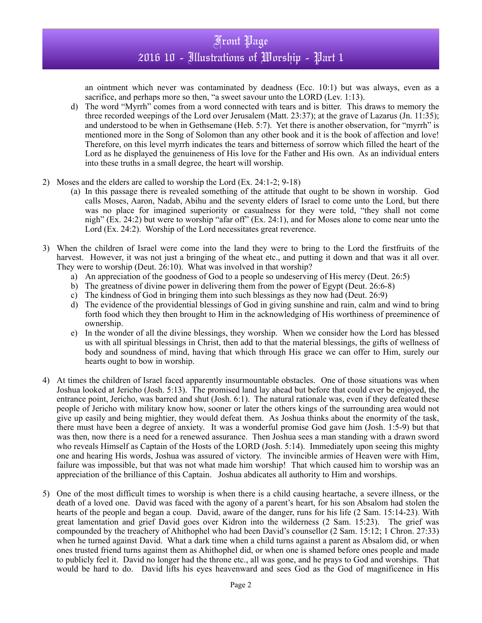## Front Page 2016 10 - Illustrations of Worship - Part 1

an ointment which never was contaminated by deadness (Ecc. 10:1) but was always, even as a sacrifice, and perhaps more so then, "a sweet savour unto the LORD (Lev. 1:13).

- d) The word "Myrrh" comes from a word connected with tears and is bitter. This draws to memory the three recorded weepings of the Lord over Jerusalem (Matt. 23:37); at the grave of Lazarus (Jn. 11:35); and understood to be when in Gethsemane (Heb. 5:7). Yet there is another observation, for "myrrh" is mentioned more in the Song of Solomon than any other book and it is the book of affection and love! Therefore, on this level myrrh indicates the tears and bitterness of sorrow which filled the heart of the Lord as he displayed the genuineness of His love for the Father and His own. As an individual enters into these truths in a small degree, the heart will worship.
- 2) Moses and the elders are called to worship the Lord (Ex. 24:1-2; 9-18)
	- (a) In this passage there is revealed something of the attitude that ought to be shown in worship. God calls Moses, Aaron, Nadab, Abihu and the seventy elders of Israel to come unto the Lord, but there was no place for imagined superiority or casualness for they were told, "they shall not come nigh" (Ex. 24:2) but were to worship "afar off" (Ex. 24:1), and for Moses alone to come near unto the Lord (Ex. 24:2). Worship of the Lord necessitates great reverence.
- 3) When the children of Israel were come into the land they were to bring to the Lord the firstfruits of the harvest. However, it was not just a bringing of the wheat etc., and putting it down and that was it all over. They were to worship (Deut. 26:10). What was involved in that worship?
	- a) An appreciation of the goodness of God to a people so undeserving of His mercy (Deut. 26:5)
	- b) The greatness of divine power in delivering them from the power of Egypt (Deut. 26:6-8)
	- c) The kindness of God in bringing them into such blessings as they now had (Deut. 26:9)
	- d) The evidence of the providential blessings of God in giving sunshine and rain, calm and wind to bring forth food which they then brought to Him in the acknowledging of His worthiness of preeminence of ownership.
	- e) In the wonder of all the divine blessings, they worship. When we consider how the Lord has blessed us with all spiritual blessings in Christ, then add to that the material blessings, the gifts of wellness of body and soundness of mind, having that which through His grace we can offer to Him, surely our hearts ought to bow in worship.
- 4) At times the children of Israel faced apparently insurmountable obstacles. One of those situations was when Joshua looked at Jericho (Josh. 5:13). The promised land lay ahead but before that could ever be enjoyed, the entrance point, Jericho, was barred and shut (Josh. 6:1). The natural rationale was, even if they defeated these people of Jericho with military know how, sooner or later the others kings of the surrounding area would not give up easily and being mightier, they would defeat them. As Joshua thinks about the enormity of the task, there must have been a degree of anxiety. It was a wonderful promise God gave him (Josh. 1:5-9) but that was then, now there is a need for a renewed assurance. Then Joshua sees a man standing with a drawn sword who reveals Himself as Captain of the Hosts of the LORD (Josh. 5:14). Immediately upon seeing this mighty one and hearing His words, Joshua was assured of victory. The invincible armies of Heaven were with Him, failure was impossible, but that was not what made him worship! That which caused him to worship was an appreciation of the brilliance of this Captain. Joshua abdicates all authority to Him and worships.
- 5) One of the most difficult times to worship is when there is a child causing heartache, a severe illness, or the death of a loved one. David was faced with the agony of a parent's heart, for his son Absalom had stolen the hearts of the people and began a coup. David, aware of the danger, runs for his life (2 Sam. 15:14-23). With great lamentation and grief David goes over Kidron into the wilderness (2 Sam. 15:23). The grief was compounded by the treachery of Ahithophel who had been David's counsellor (2 Sam. 15:12; 1 Chron. 27:33) when he turned against David. What a dark time when a child turns against a parent as Absalom did, or when ones trusted friend turns against them as Ahithophel did, or when one is shamed before ones people and made to publicly feel it. David no longer had the throne etc., all was gone, and he prays to God and worships. That would be hard to do. David lifts his eyes heavenward and sees God as the God of magnificence in His